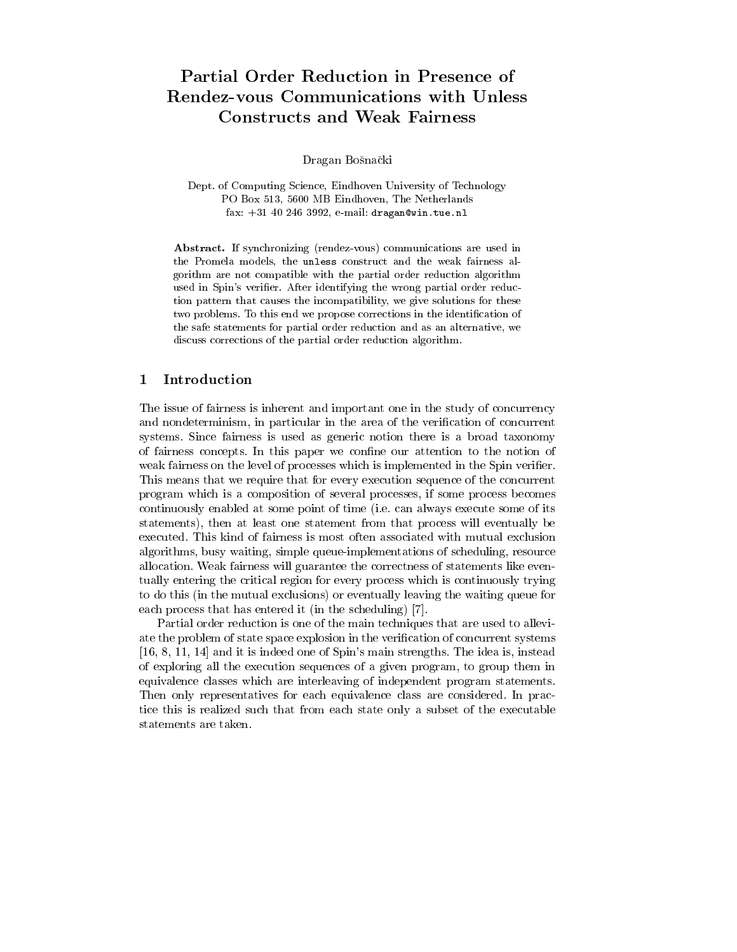# Partial Order Reduction in Presence of Rendez-vous Communications with Unless

Dragan Bosnacki

Dept. of Computing Science, Eindhoven University of Technology PO Box 513, 5600 MB Eindhoven, The Netherlands fax: +31 40 246 3992, e-mail: dragan@win.tue.nl

Abstract. If synchronizing (rendez-vous) communications are used in the Promela models, the unless construct and the weak fairness algorithm are not compatible with the partial order reduction algorithm used in Spin's verifier. After identifying the wrong partial order reduction pattern that causes the incompatibility, we give solutions for these two problems. To this end we propose corrections in the identification of the safe statements for partial order reduction and as an alternative, we discuss corrections of the partial order reduction algorithm.

#### $\mathbf{1}$

The issue of fairness is inherent and important one in the study of concurrency and nondeterminism, in particular in the area of the verification of concurrent systems. Since fairness is used as generic notion there is a broad taxonomy of fairness concepts. In this paper we confine our attention to the notion of weak fairness on the level of processes which is implemented in the Spin verier. This means that we require that for every execution sequence of the concurrent program which isa composition of several processes, if some process becomes continuously enabled at some point of time (i.e. can always execute some of its statements), then at least one statement from that process will eventually be executed. This kind of fairness is most often associated with mutual exclusion algorithms, busy waiting, simple queue-implementations of scheduling, resource allocation. Weak fairness will guarantee the correctness of statements like eventually entering the critical region for every process which is continuously trying to do this (in the mutual exclusions) or eventually leaving the waiting queue for each process that has entered it (in the scheduling) [7].

Partial order reduction is one of the main techniques that are used to alleviate the problem of state space explosion in the verication of concurrent systems [16, 8, 11, 14] and it is indeed one of Spin's main strengths. The idea is, instead of exploring all the execution sequences of a given program, to group them in equivalence classes which are interleaving of independent program statements. Then only representatives for each equivalence class are considered. In practice this is realized such that from each state only a subset of the executable statements are taken.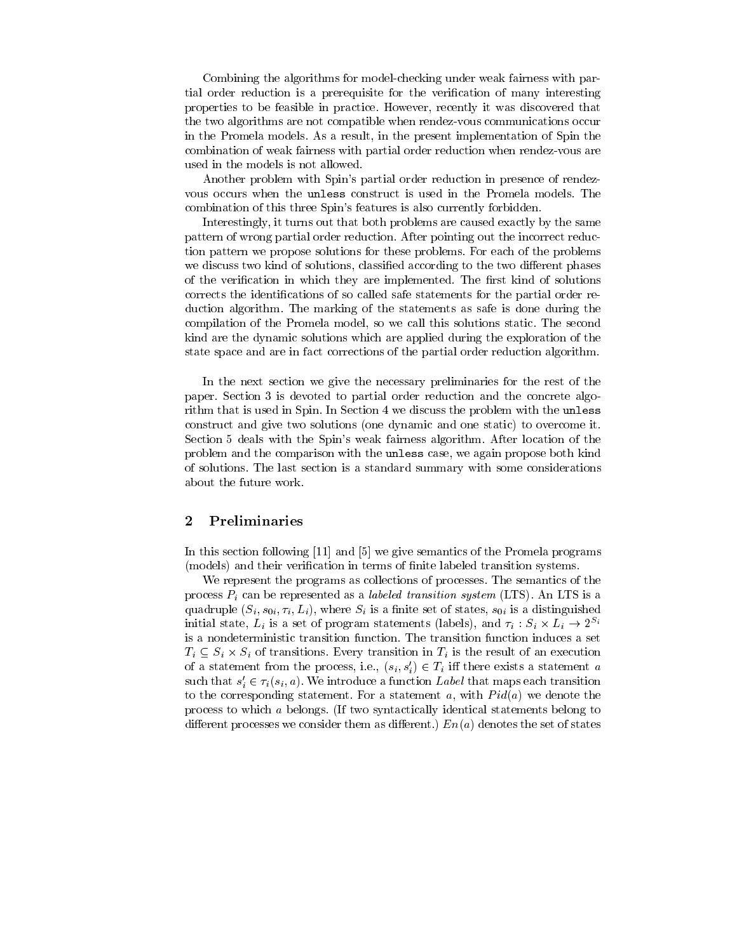Combining the algorithms for model-checking under weak fairness with partial order reduction is a prerequisite for the verification of many interesting properties to be feasible in practice. However, recently itwas discovered that the two algorithms are not compatible when rendez-vous communications occur in the Promela models. As a result, in the present implementation of Spin the combination of weak fairness with partial order reduction when rendez-vous are used in the models is not allowed.

Another problem with Spin's partial order reduction in presence of rendez vous occurs when the unless construct is used in the Promela models. The combination of this three Spin's features is also currently forbidden.

Interestingly, it turns out that both problems are caused exactly by the same pattern of wrong partial order reduction. After pointing out the incorrect reduction pattern we propose solutions for these problems. For each of the problems we discuss two kind of solutions, classified according to the two different phases of the verification in which they are implemented. The first kind of solutions corrects the identications of so called safe statements for the partial order reduction algorithm. The marking of the statements as safe is done during the compilation of the Promela model, so we call this solutions static. The second kind are the dynamic solutions which are applied during the exploration of the state space and are in fact corrections of the partial order reduction algorithm.

In the next section we give the necessary preliminaries for the rest of the paper. Section 3 is devoted to partial order reduction and the concrete algorithm that is used in Spin. In Section 4 we discuss the problem with the unless construct and give two solutions (one dynamic and one static) to overcome it. Section 5 deals with the Spin's weak fairness algorithm. After location of the problem and the comparison with the unless case, we again propose both kind of solutions. The last section is a standard summary with some considerations about the future work.

#### <sup>2</sup> Preliminaries

In this section following [11] and [5] we give semantics of the Promela programs (models) and their verication in terms of nite labeled transition systems.

We represent the programs as collections of processes. The semantics of the process  $P_i$  can be represented as a *labeled transition system* (LTS). An LTS is a quadruple  $(S_i, s_{0i}, \tau_i, L_i)$ , where  $S_i$  is a finite set of states,  $s_{0i}$  is a distinguished initial state,  $L_i$  is a set of program statements (iabels), and  $\tau_i$  :  $S_i \times L_i \rightarrow Z^*$ is a nondeterministic transition function. The transition function induces a set  $\mathcal{L}_1$  -  $\mathcal{L}_2$  , the results is the result of an execution in Ti is the result of an execution in the result of an execution is the result of an execution in the result of an execution in the result of an execution of a statement from the process, i.e.,  $(s_i, s_i') \in T_i$  iff there exists a statement a such that  $s_i \in \tau_i(s_i, a)$ . We introduce a function Label that maps each transition to the corresponding statement. For a statement  $a$ , with  $Pid(a)$  we denote the process to which a belongs. (If two syntactically identical statements belong to different processes we consider them as different.)  $En(a)$  denotes the set of states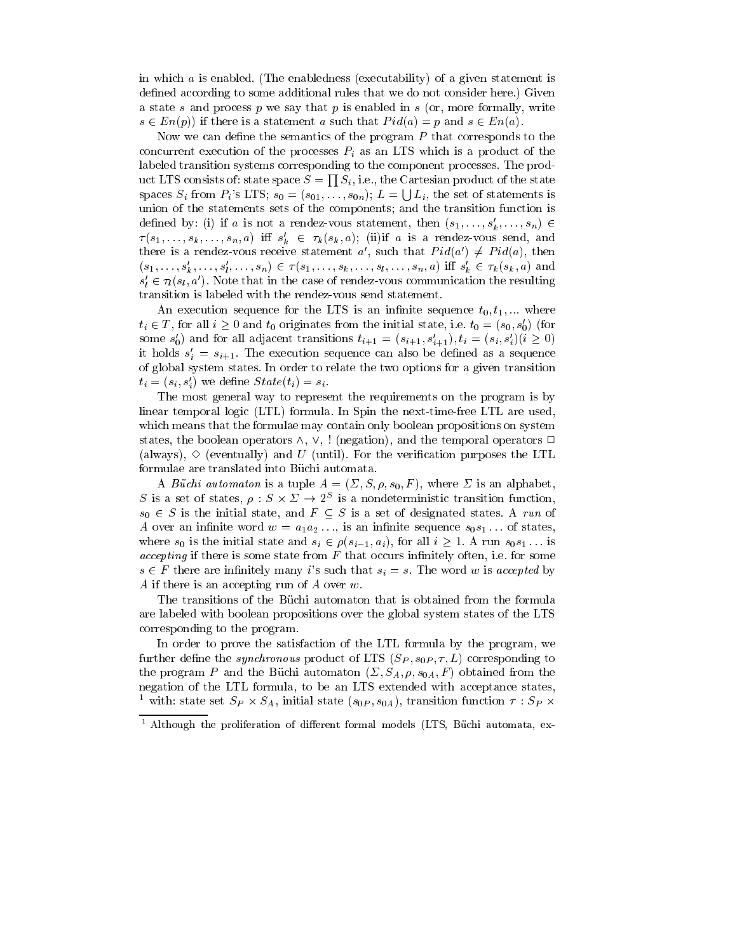in which  $a$  is enabled. (The enabledness (executability) of a given statement is defined according to some additional rules that we do not consider here.) Given a state s and process p we say that p is enabled in s (or, more formally, write  $s \in En(p)$  if there is a statement a such that  $Pid(a) = p$  and  $s \in En(a)$ .

Now we can define the semantics of the program  $P$  that corresponds to the concurrent execution of the processes  $P_i$  as an LTS which is a product of the labeled transition systems corresponding to the component processes. The product LTS consists of: state space  $S = \prod S_i$ , i.e., the Cartesian product of the state spaces  $S_i$  from  $P_i$ 's LTS;  $s_0 = (s_{01},...,s_{0n}); L = \bigcup L_i$ , the set of statements is union of the statements sets of the components; and the transition function is defined by: (i) if a is not a rendez-vous statement, then  $(s_1, \ldots, s_k', \ldots, s_n) \in$  $(\tau(s_1,\ldots,s_k,\ldots,s_n,a)$  in  $s_k$   $\in$   $\tau_k(s_k,a)$ ; (ii)if a is a rendez-vous send, and there is a rendez-vous receive statement a', such that  $Pid(a') \neq Pid(a)$ , then  $(s_1,\ldots,s_k,\ldots,s_l,\ldots,s_n) \in \tau(s_1,\ldots,s_k,\ldots,s_l,\ldots,s_n,a)$  in  $s_k \in \tau_k(s_k,a)$  and  $s_l \in \tau_l(s_l, a$  ). Note that in the case of rendez-vous communication the resulting transition is labeled with the rendez-vous send statement.

An execution sequence for the LTS is an infinite sequence  $t_0, t_1, \ldots$  where  $t_i \in T$ , for all  $i \geq 0$  and  $t_0$  originates from the initial state, i.e.  $t_0 = (s_0, s'_0)$  (for some  $s_0$ ) and for all adjacent transitions  $t_{i+1} = (s_{i+1}, s_{i+1}), t_i = (s_i, s_i)$  $(i \geq 0)$ It holds  $s_i = s_{i+1}$ . The execution sequence can also be defined as a sequence of global system states. In order to relate the two options for a given transition  $t_i = (s_i, s'_i)$  we define  $State(t_i) = s_i$ .

The most general way to represent the requirements on the program is by linear temporal logic (LTL) formula. In Spin the next-time-free LTL are used, which means that the formulae may contain only boolean propositions on system states, the boolean operators  $\wedge$ ,  $\vee$ , ! (negation), and the temporal operators  $\Box$ (always),  $\diamond$  (eventually) and U (until). For the verification purposes the LTL formulae are translated into Büchi automata.

A Büchi automaton is a tuple  $A = (\Sigma, S, \rho, s_0, F)$ , where  $\Sigma$  is an alphabet, S is a set of states,  $\rho : S \times Z \rightarrow Z$  is a nondeterministic transition function,  $s_0 \in S$  is the initial state, and  $F \subseteq S$  is a set of designated states. A run of A over an infinite word  $w = a_1 a_2 \ldots$ , is an infinite sequence  $s_0 s_1 \ldots$  of states, where  $s_0$  is the initial state and  $s_i \in \rho(s_{i-1}, a_i)$ , for all  $i \geq 1$ . A run  $s_0s_1 \dots$  is accepting if there is some state from  $F$  that occurs infinitely often, i.e. for some  $s \in F$  there are infinitely many i's such that  $s_i = s$ . The word w is accepted by A if there is an accepting run of  $A$  over  $w$ .<br>The transitions of the Büchi automaton that is obtained from the formula

are labeled with boolean propositions over the global system states of the LTS corresponding to the program.

In order to prove the satisfaction of the LTL formula by the program, we further define the synchronous product of LTS  $(S_P, s_0, \tau, L)$  corresponding to the program P and the Büchi automaton  $(\Sigma, S_A, \rho, s_{0A}, F)$  obtained from the negation of the LTL formula, to be an LTS extended with acceptance states, with: state set  $SP \times SA$ , initial state  $(s_0P, s_{0A})$ , transition function  $\tau : SP \times$ 

<sup>1</sup> Although the proliferation of dierent formal models (LTS, Buchi automata, ex-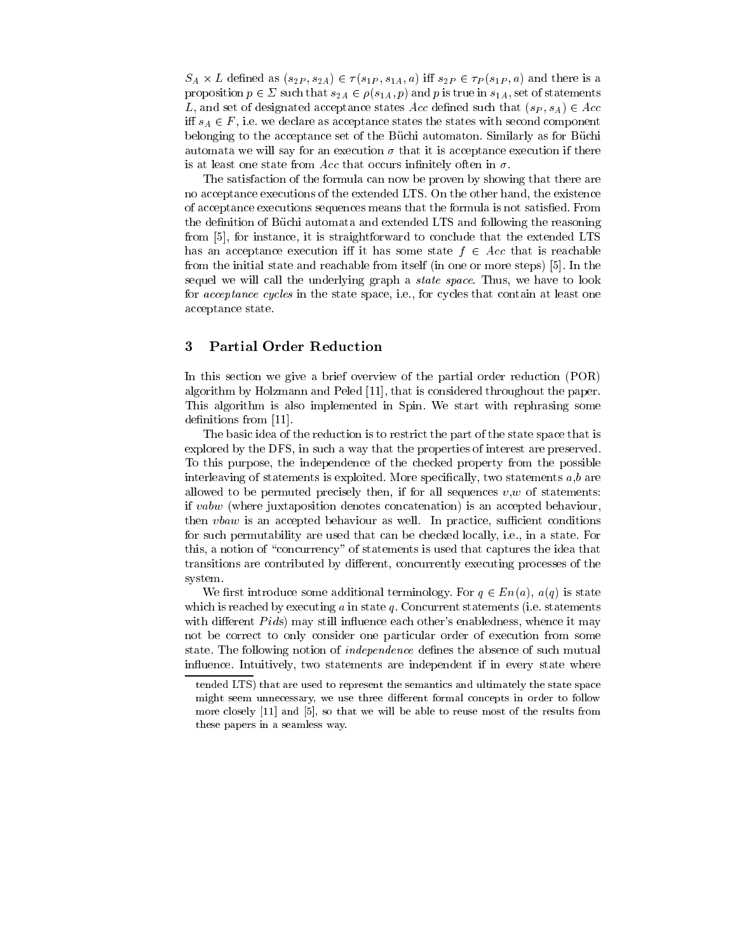SA - <sup>L</sup> dened as (s2P ; s2A) <sup>2</sup> (s1P ; s1A; a) i s2P <sup>2</sup> P (s1P ; a) and there is a proposition  $p \in \Sigma$  such that  $s_{2A} \in \rho(s_{1A}, p)$  and p is true in  $s_{1A}$ , set of statements L, and set of designated acceptance states Acc defined such that  $(s_P, s_A) \in Acc$ iff  $s_A \in F$ , i.e. we declare as acceptance states the states with second component belonging to the acceptance set of the Buchi automaton. Similarly as for Buchi automata we will say for an execution  $\sigma$  that it is acceptance execution if there is at least one state from Acc that occurs infinitely often in  $\sigma$ .

The satisfaction of the formula can now be proven by showing that there are no acceptance executions of the extended LTS. On the other hand, the existence of acceptance executions sequences means that the formula is not satised. From the definition of Büchi automata and extended LTS and following the reasoning from [5], for instance, it is straightforward to conclude that the extended LTS has an acceptance execution iff it has some state  $f \in Acc$  that is reachable from the initial state and reachable from itself (in one or more steps) [5]. In the sequel we will call the underlying graph a state space. Thus, we have to look for *acceptance cycles* in the state space, i.e., for cycles that contain at least one acceptance state.

## <sup>3</sup> Partial Order Reduction

In this section we give a brief overview of the partial order reduction (POR) algorithm by Holzmann and Peled [11], that is considered throughout the paper. This algorithm is also implemented in Spin. We start with rephrasing some definitions from [11].

The basic idea of the reduction is to restrict the part of the state space that is explored by the DFS, in such a way that the properties of interest are preserved. To this purpose, the independence of the checked property from the possible interleaving of statements is exploited. More specifically, two statements  $a, b$  are allowed to be permuted precisely then, if for all sequences  $v, w$  of statements: if vabw (where juxtaposition denotes concatenation) is an accepted behaviour, then  $vbaw$  is an accepted behaviour as well. In practice, sufficient conditions for such permutability are used that can be checked locally, i.e., in a state. For this, a notion of "concurrency" of statements is used that captures the idea that transitions are contributed by different, concurrently executing processes of the system.

We first introduce some additional terminology. For  $q \in En(a)$ ,  $a(q)$  is state which is reached by executing  $a$  in state  $q$ . Concurrent statements (i.e. statements with different  $Pids$  may still influence each other's enabledness, whence it may not be correct to only consider one particular order of execution from some state. The following notion of *independence* defines the absence of such mutual influence. Intuitively, two statements are independent if in every state where

tended LTS) that are used to represent the semantics and ultimately the state space might seem unnecessary, we use three different formal concepts in order to follow more closely [11] and [5], so that we will be able to reuse most of the results from these papers in a seamless way.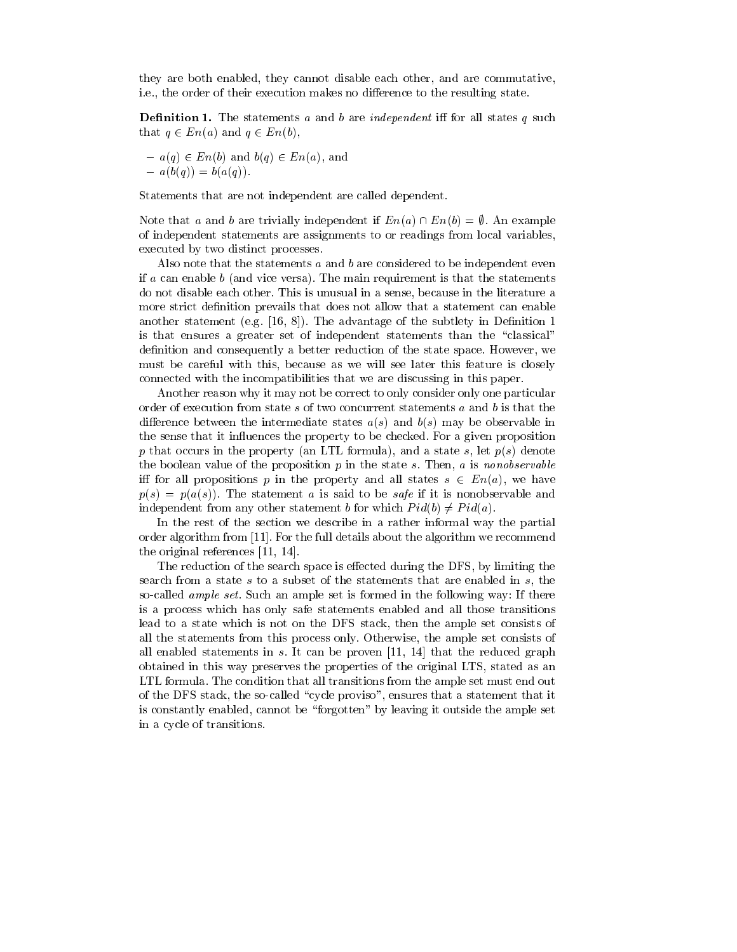they are both enabled, they cannot disable each other, and are commutative, i.e., the order of their execution makes no difference to the resulting state.

**Definition 1.** The statements a and b are *independent* iff for all states q such that  $q \in En(a)$  and  $q \in En(b)$ ,

$$
- a(q) \in En(b) \text{ and } b(q) \in En(a), \text{ and}
$$
  

$$
- a(b(q)) = b(a(q)).
$$

Statements that are not independent are called dependent.

Note that a and b are trivially independent if  $En(a) \cap En(b) = \emptyset$ . An example of independent statements are assignments to or readings from local variables, executed by two distinct processes.

Also note that the statements  $a$  and  $b$  are considered to be independent even if  $a$  can enable  $b$  (and vice versa). The main requirement is that the statements do not disable each other. This is unusual in a sense, because in the literature a more strict definition prevails that does not allow that a statement can enable another statement (e.g.  $[16, 8]$ ). The advantage of the subtlety in Definition 1 is that ensures a greater set of independent statements than the "classical" definition and consequently a better reduction of the state space. However, we must be careful with this, because as we will see later this feature is closely connected with the incompatibilities that we are discussing in this paper.

Another reason why it may not be correct to only consider only one particular order of execution from state  $s$  of two concurrent statements  $a$  and  $b$  is that the difference between the intermediate states  $a(s)$  and  $b(s)$  may be observable in the sense that it in
uences the property to be checked. For a given proposition p that occurs in the property (an LTL formula), and a state s, let  $p(s)$  denote the boolean value of the proposition  $p$  in the state  $s$ . Then,  $a$  is nonobservable iff for all propositions p in the property and all states  $s \in En(a)$ , we have  $p(s) = p(a(s))$ . The statement a is said to be *safe* if it is nonobservable and independent from any other statement b for which  $Pid(b) \neq Pid(a)$ .

In the rest of the section we describe in a rather informal way the partial order algorithm from [11]. For the full details about the algorithm we recommend the original references [11, 14].

The reduction of the search space is effected during the DFS, by limiting the search from a state s to a subset of the statements that are enabled in  $s$ , the so-called ample set. Such an ample set is formed in the following way: If there is a process which has only safe statements enabled and all those transitions lead to a state which is not on the DFS stack, then the ample set consists of all the statements from this process only. Otherwise, the ample set consists of all enabled statements in s. It can be proven [11, 14] that the reduced graph obtained in this way preserves the properties of the original LTS, stated as an LTL formula. The condition that all transitions from the ample set must end out of the DFS stack, the so-called \cycle proviso", ensures that a statement that it is constantly enabled, cannot be \forgotten" by leaving it outside the ample set in a cycle of transitions.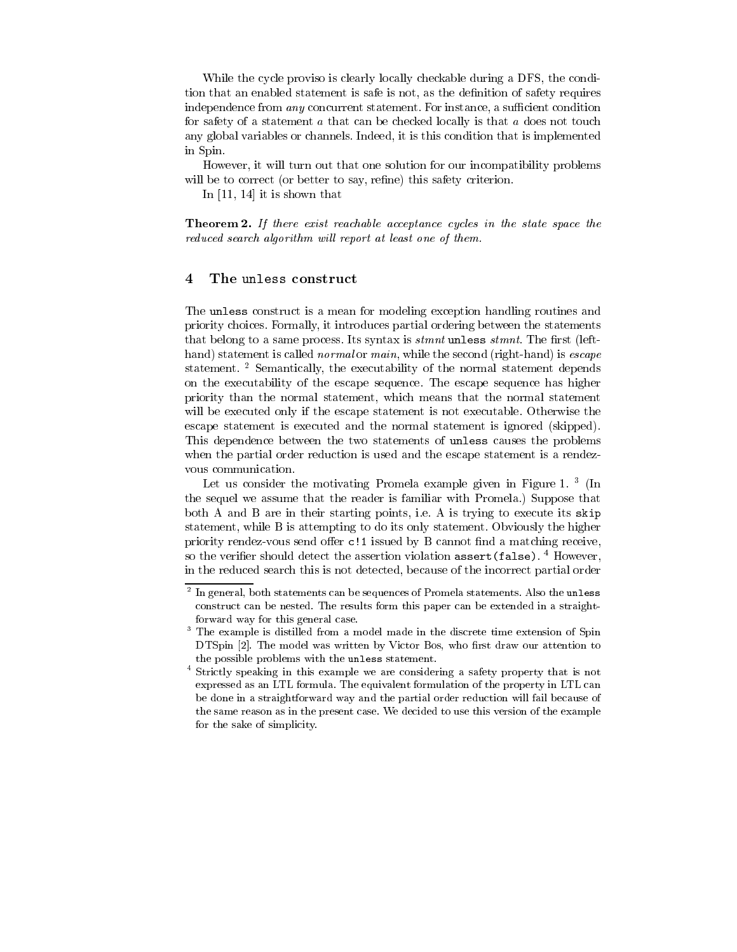While the cycle proviso is clearly locally checkable during a DFS, the condition that an enabled statement is safe is not, as the definition of safety requires independence from any concurrent statement. For instance, a sufficient condition for safety of a statement a that can be checked locally is that a does not touch any global variables or channels. Indeed, it is this condition that is implemented in Spin.

However, it will turn out that one solution for our incompatibility problems will be to correct (or better to say, refine) this safety criterion.

In [11, 14] it is shown that

Theorem 2. If there exist reachable acceptance cycles in the state space the reduced search algorithm will report at least one of them.

## <sup>4</sup> The unless construct

The unless construct is a mean for modeling exception handling routines and priority choices. Formally, it introduces partial ordering between the statements that belong to a same process. Its syntax is  $stmnt$  unless  $stmnt$ . The first (lefthand) statement is called *normal* or *main*, while the second (right-hand) is *escape* statement. <sup>2</sup> Semantically, the executability of the normal statement depends on the executability of the escape sequence. The escape sequence has higher priority than the normal statement, which means that the normal statement will be executed only if the escape statement is not executable. Otherwise the escape statement is executed and the normal statement is ignored (skipped). This dependence between the two statements of unless causes the problems when the partial order reduction is used and the escape statement is a rendezvous communication.

Let us consider the motivating Promela example given in Figure 1. 3 (In Letter 2014) the sequel we assume that the reader is familiar with Promela.) Suppose that both A and B are in their starting points, i.e. A is trying to execute its skip statement, while B is attempting to do its only statement. Obviously the higher priority rendez-vous send offer  $c!1$  issued by  $B$  cannot find a matching receive, so the verifier should detect the assertion violation  $\texttt{assert}(\texttt{false})$ . <sup>4</sup> However, in the reduced search this is not detected, because of the incorrect partial order

<sup>2</sup> In general, both statements can be sequences of Promela statements. Also the unless construct can be nested. The results form this paper can be extended in a straightforward way for this general case.

<sup>3</sup> The example is distilled from a model made in the discrete time extension of Spin DTSpin [2]. The model was written by Victor Bos, who first draw our attention to the possible problems with the unless statement.

<sup>4</sup> Strictly speaking in this example we are considering a safety property that is not expressed as an LTL formula. The equivalent formulation of the property in LTL can be done in a straightforward way and the partial order reduction will fail because of the same reason as in the present case. We decided to use this version of the example for the sake of simplicity.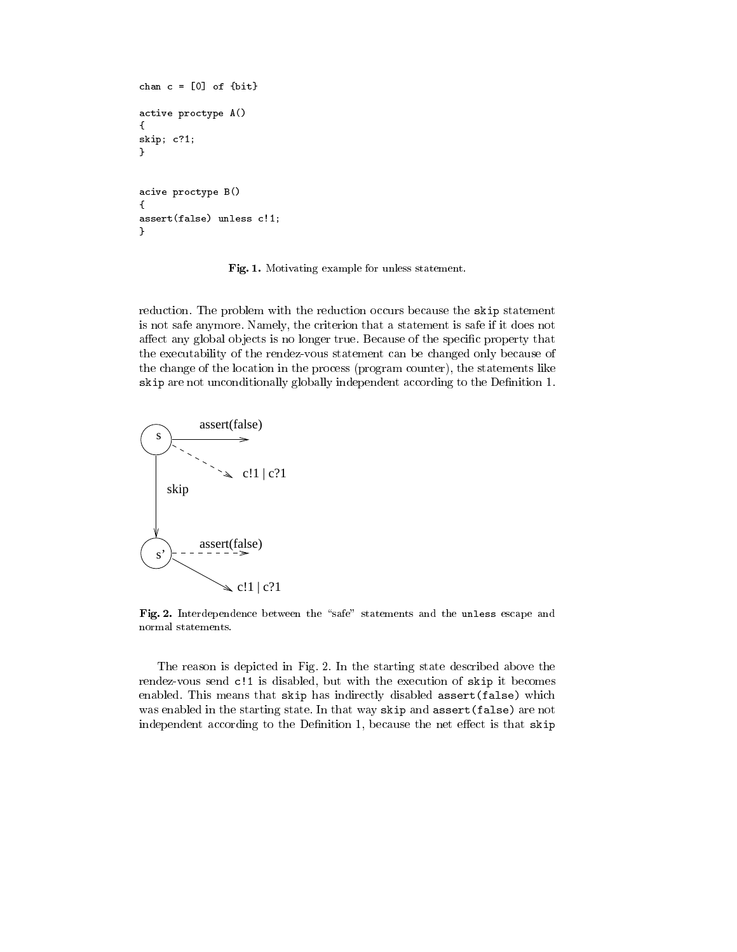```
chan c = [0] of \{bit\}active proctype A()
 {\color{red} \bullet} . The contract of the contract of the contract of the contract of the contract of the contract of the contract of the contract of the contract of the contract of the contract of the contract of the contract of 
skip; c?1;
}
acive proctype B()
 {
assert(false) unless c!1;
}
```
Fig. 1. Motivating example for unless statement.

reduction. The problem with the reduction occurs because the skip statement is not safe anymore. Namely, the criterion that a statement is safe if it does not affect any global objects is no longer true. Because of the specific property that the executability of the rendez-vous statement can be changed only because of the change of the location in the process (program counter), the statements like skip are not unconditionally globally independent according to the Definition 1.



Fig. 2. Interdependence between the "safe" statements and the unless escape and normal statements.

The reason is depicted in Fig. 2. In the starting state described above the rendez-vous send c!1 is disabled, but with the execution of skip it becomes enabled. This means that skip has indirectly disabled assert(false) which was enabled in the starting state. In that way skip and assert(false) are not independent according to the Definition 1, because the net effect is that skip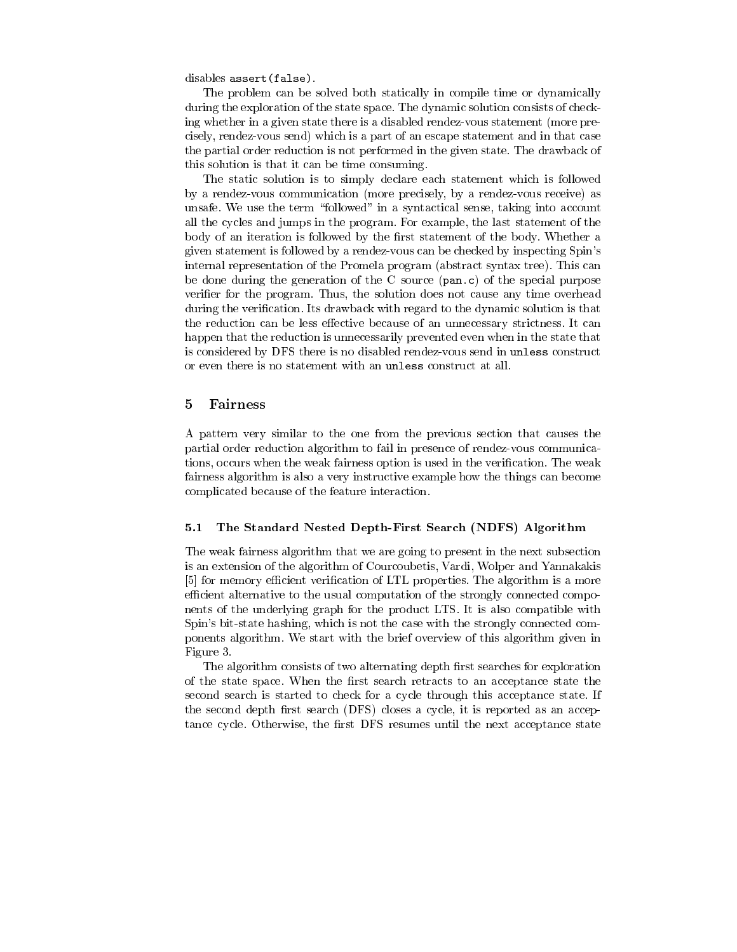disables assert(false).

The problem can be solved both statically in compile time or dynamically during the exploration of the state space. The dynamic solution consists of checking whether in a given state there is a disabled rendez-vous statement (more precisely, rendez-vous send) which is a part of an escape statement and in that case the partial order reduction is not performed in the given state. The drawback of this solution is that it can be time consuming.

The static solution is to simply declare each statement which is followed by a rendez-vous communication (more precisely, by a rendez-vous receive) as unsafe. We use the term "followed" in a syntactical sense, taking into account all the cycles and jumps in the program. For example, the last statement of the body of an iteration is followed by the first statement of the body. Whether a given statement is followed by a rendez-vous can be checked by inspecting Spin's internal representation of the Promela program (abstract syntax tree). This can be done during the generation of the C source (pan.c) of the special purpose verifier for the program. Thus, the solution does not cause any time overhead during the verification. Its drawback with regard to the dynamic solution is that the reduction can be less effective because of an unnecessary strictness. It can happen that the reduction is unnecessarily prevented even when in the state that is considered by DFS there is no disabled rendez-vous send in unless construct or even there is no statement with an unless construct at all.

#### <sup>5</sup> Fairness

A pattern very similar to the one from the previous section that causes the partial order reduction algorithm to fail in presence of rendez-vous communications, occurs when the weak fairness option is used in the verication. The weak fairness algorithm is also a very instructive example how the things can become complicated because of the feature interaction.

### 5.1 The Standard Nested Depth-First Search (NDFS) Algorithm

The weak fairness algorithm that we are going to present in the next subsection is an extension of the algorithm of Courcoubetis, Vardi, Wolper and Yannakakis [5] for memory efficient verification of LTL properties. The algorithm is a more efficient alternative to the usual computation of the strongly connected components of the underlying graph for the product LTS. It is also compatible with Spin's bit-state hashing, which is not the case with the strongly connected components algorithm. We start with the brief overview of this algorithm given in Figure 3.

The algorithm consists of two alternating depth first searches for exploration of the state space. When the first search retracts to an acceptance state the second search is started to check for a cycle through this acceptance state. If the second depth first search (DFS) closes a cycle, it is reported as an acceptance cycle. Otherwise, the first DFS resumes until the next acceptance state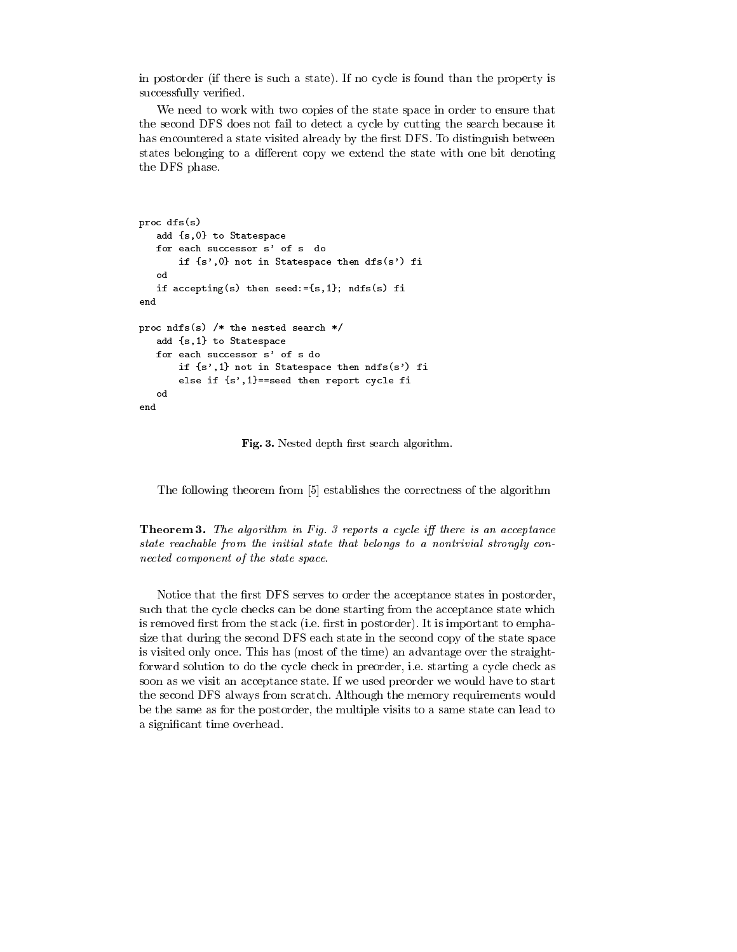in postorder (if there is such a state). If no cycle is found than the property is successfully verified.

We need to work with two copies of the state space in order to ensure that the second DFS does not fail to detect a cycle by cutting the search because it has encountered a state visited already by the first DFS. To distinguish between states belonging to a different copy we extend the state with one bit denoting the DFS phase.

```
proc dfs(s)
   add {s,0} to Statespace
   for each successor s' of s do
       if {s',0} not in Statespace then dfs(s') fi
   od
   if accepting(s) then seed:=\{s,1\}; ndfs(s) fi
end
proc ndfs(s) /* the nested search */
   add {s,1} to Statespace
   for each successor s' of s do
       if {s',1} not in Statespace then ndfs(s') fi
       else if {s',1}==seed then report cycle fi
   od
end
```
Fig. 3. Nested depth first search algorithm.

The following theorem from [5] establishes the correctness of the algorithm

**Theorem 3.** The algorithm in Fig. 3 reports a cycle iff there is an acceptance state reachable from the initial state that belongs to a nontrivial strongly connected component of the state space.

Notice that the first DFS serves to order the acceptance states in postorder, such that the cycle checks can be done starting from the acceptance state which is removed first from the stack (i.e. first in postorder). It is important to emphasize that during the second DFS each state in the second copy of the state space is visited only once. This has (most of the time) an advantage over the straightforward solution to do the cycle check in preorder, i.e. starting a cycle check as soon as we visit an acceptance state. If we used preorder we would have to start the second DFS always from scratch. Although the memory requirements would be the same as for the postorder, the multiple visits to a same state can lead to a signicant time overhead.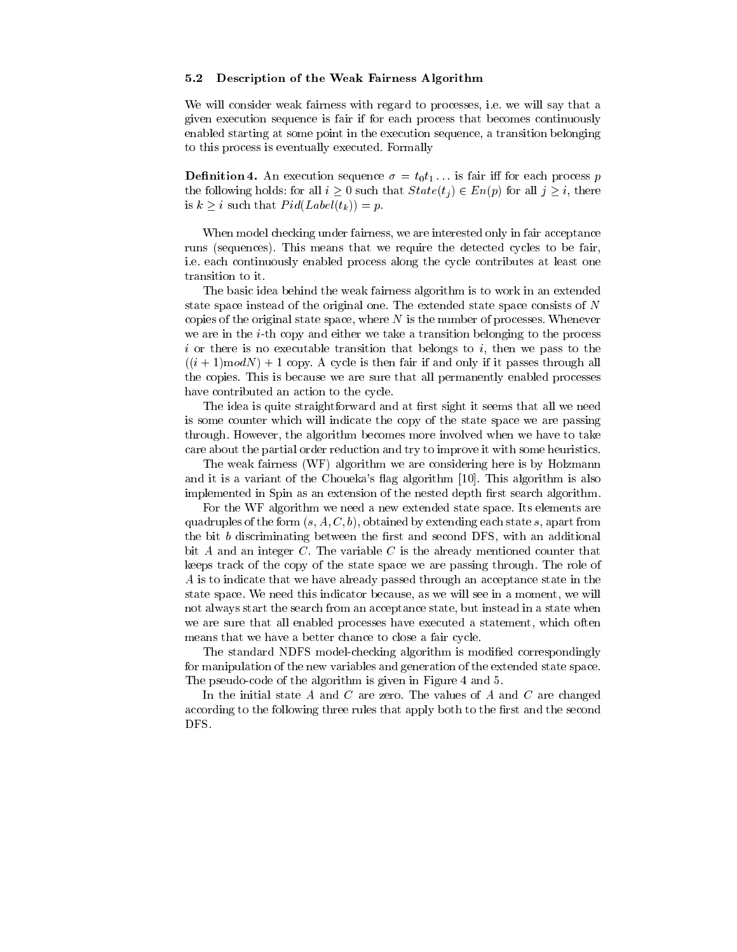#### 5.2 Description of the Weak Fairness Algorithm

We will consider weak fairness with regard to processes, i.e. we will say that a given execution sequence is fair if for each process that becomes continuously enabled starting at some point in the execution sequence, a transition belonging to this process is eventually executed. Formally

**Definition 4.** An execution sequence  $\sigma = t_0 t_1 \dots$  is fair iff for each process p the following holds: for all  $i \geq 0$  such that  $State(t_j) \in En(p)$  for all  $j \geq i$ , there is  $k \geq i$  such that  $Pid(Label(t_k)) = p$ .

When model checking under fairness, we are interested only in fair acceptance runs (sequences). This means that we require the detected cycles to be fair, i.e. each continuously enabled process along the cycle contributes at least one transition to it.

The basic idea behind the weak fairness algorithm is to work in an extended state space instead of the original one. The extended state space consists of N copies of the original state space, where  $N$  is the number of processes. Whenever we are in the *i*-th copy and either we take a transition belonging to the process i or there is no executable transition that belongs to i, then we pass to the  $((i + 1) \text{mod} N) + 1$  copy. A cycle is then fair if and only if it passes through all the copies. This is because we are sure that all permanently enabled processes have contributed an action to the cycle.

The idea is quite straightforward and at first sight it seems that all we need is some counter which will indicate the copy of the state space we are passing through. However, the algorithm becomes more involved when we have to take care about the partial order reduction and try to improve it with some heuristics.

The weak fairness (WF) algorithm we are considering here is by Holzmann and it is a variant of the Choueka's flag algorithm [10]. This algorithm is also implemented in Spin as an extension of the nested depth first search algorithm.

For the WF algorithm we need a new extended state space. Its elements are quadruples of the form  $(s, A, C, b)$ , obtained by extending each state s, apart from the bit  $b$  discriminating between the first and second DFS, with an additional bit  $A$  and an integer  $C$ . The variable  $C$  is the already mentioned counter that keeps track of the copy of the state space we are passing through. The role of A is to indicate that we have already passed through an acceptance state in the state space. We need this indicator because, as we will see in a moment, we will not always start the search from an acceptance state, but instead in a state when we are sure that all enabled processes have executed a statement, which often means that we have a better chance to close a fair cycle.

The standard NDFS model-checking algorithm is modied correspondingly for manipulation of the new variables and generation of the extended state space. The pseudo-code of the algorithm is given in Figure 4 and 5.

In the initial state A and C are zero. The values of A and C are changed according to the following three rules that apply both to the first and the second DFS.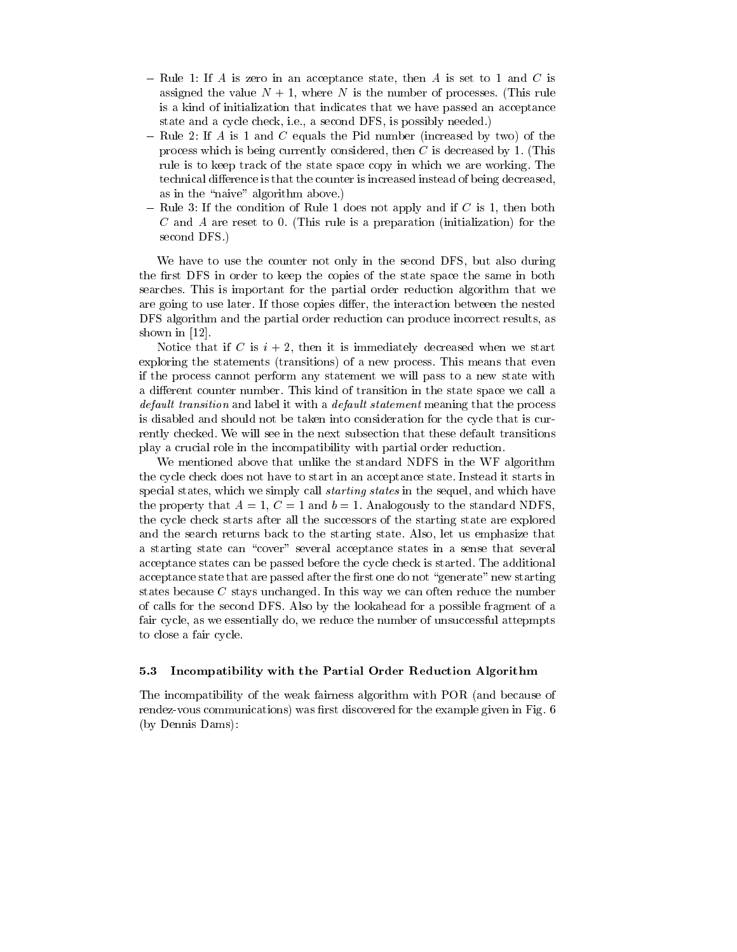- $-$  Rule 1: If A is zero in an acceptance state, then A is set to 1 and C is assigned the value  $N + 1$ , where N is the number of processes. (This rule is a kind of initialization that indicates that we have passed an acceptance state and a cycle check, i.e., a second DFS, is possibly needed.)
- $-$  Rule 2: If A is 1 and C equals the Pid number (increased by two) of the process which is being currently considered, then  $C$  is decreased by 1. (This rule is to keep track of the state space copy in which we are working. The technical difference is that the counter is increased instead of being decreased, as in the "naive" algorithm above.)
- ${\rm -}$  Rule 3: If the condition of Rule 1 does not apply and if C is 1, then both C and A are reset to 0. (This rule is a preparation (initialization) for the second DFS.)

We have to use the counter not only in the second DFS, but also during the first DFS in order to keep the copies of the state space the same in both searches. This is important for the partial order reduction algorithm that we are going to use later. If those copies differ, the interaction between the nested DFS algorithm and the partial order reduction can produce incorrect results, as shown in [12].

Notice that if C is  $i + 2$ , then it is immediately decreased when we start exploring the statements (transitions) of a new process. This means that even if the process cannot perform any statement we will pass to a new state with a different counter number. This kind of transition in the state space we call a default transition and label it with a default statement meaning that the process is disabled and should not be taken into consideration for the cycle that is currently checked. We will see in the next subsection that these default transitions play a crucial role in the incompatibility with partial order reduction.

We mentioned above that unlike the standard NDFS in the WF algorithm the cycle check does not have to start in an acceptance state. Instead it starts in special states, which we simply call starting states in the sequel, and which have the property that  $A = 1, C = 1$  and  $b = 1$ . Analogously to the standard NDFS, the cycle check starts after all the successors of the starting state are explored and the search returns back to the starting state. Also, let us emphasize that a starting state can "cover" several acceptance states in a sense that several acceptance states can be passed before the cycle check is started. The additional acceptance state that are passed after the first one do not "generate" new starting states because C stays unchanged. In this way we can often reduce the number of calls for the second DFS. Also by the lookahead for a possible fragment of a fair cycle, as we essentially do, we reduce the number of unsuccessful attepmpts to close a fair cycle.

#### 5.3 Incompatibility with the Partial Order Reduction Algorithm

The incompatibility of the weak fairness algorithm with POR (and because of rendez-vous communications) was first discovered for the example given in Fig. 6 (by Dennis Dams):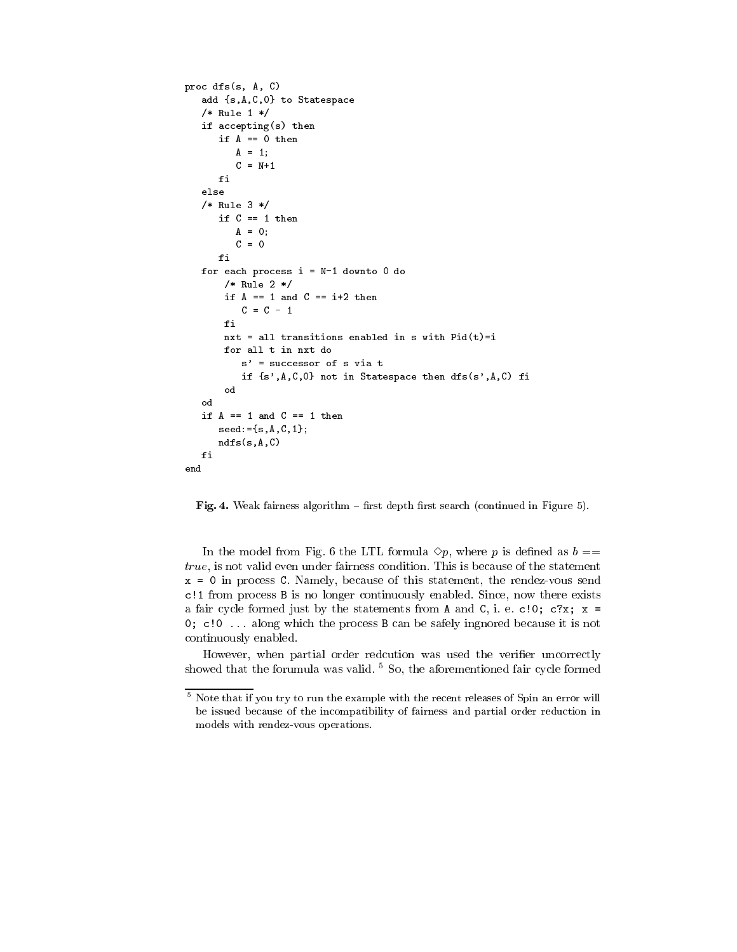```
proc dfs(s, A, C)
   add {s,A,C,0} to Statespace
   /* Rule 1 */
   if accepting(s) then
      if A == 0 then
        A = 1;C = N+1fi
   else
   /* Rule 3 */
      if C == 1 then
         A = 0;C = 0fi
   for each process i = N-1 downto 0 do
       /* Rule 2 */
       if A == 1 and C == i+2 then
          C = C - 1fi
       nxt = all transitions enabled in s with Pid(t)=ifor all t in nxt do
          s' = successor of s via t
          if {s',A,C,0} not in Statespace then dfs(s',A,C) fi
   if A == 1 and C == 1 then
      seed:={s,A,C,1};
      ndfs(s,A,C)
  fi
end
```
Fig. 4. Weak fairness algorithm  $-$  first depth first search (continued in Figure 5).

In the model from Fig. 6 the LTL formula  $\Diamond p$ , where p is defined as  $b ==$ true, is not valid even under fairness condition. This is because of the statement  $x = 0$  in process C. Namely, because of this statement, the rendez-vous send c!1 from process B is no longer continuously enabled. Since, now there exists a fair cycle formed just by the statements from A and C, i. e. c!0; c?x;  $x =$ 0; c!0 ... along which the process B can be safely ingnored because it is not continuously enabled.

However, when partial order redcution was used the verifier uncorrectly showed that the forumula was valid.  $5$  So, the aforementioned fair cycle formed

 $^\circ$  Note that if you try to run the example with the recent releases of Spin an error will be issued because of the incompatibility of fairness and partial order reduction in models with rendez-vous operations.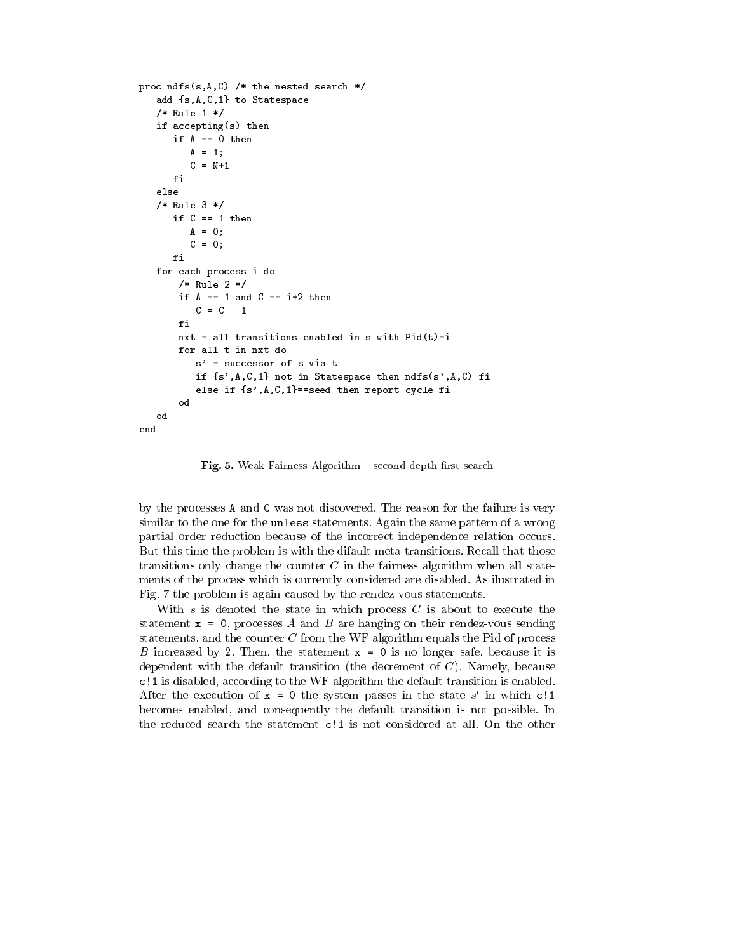```
proc ndfs(s,A,C) /* the nested search */
   add {s,A,C,1} to Statespace
   /* Rule 1 */
   if accepting(s) then
      if A == 0 then
         A = 1;C = N+1fi
   /* Rule 3 */
      if C == 1 then
         A = 0;C = 0;fi
   for each process i do
       /* Rule 2 */
       if A == 1 and C == i+2 then
          C = C - 1f_inxt = all transitions enabled in s with Pid(t)=ifor all t in nxt do
          s' = successor of s via t
          if \{s', A, C, 1\} not in Statespace then ndfs(s', A, C) fi
          else if {s',A,C,1}==seed then report cycle fi
   od
end
```
Fig. 5. Weak Fairness Algorithm  $-$  second depth first search

by the processes A and C was not discovered. The reason for the failure is very similar to the one for the unless statements. Again the same pattern of a wrong partial order reduction because of the incorrect independence relation occurs. But this time the problem is with the difault meta transitions. Recall that those transitions only change the counter  $C$  in the fairness algorithm when all statements of the process which is currently considered are disabled. As ilustrated in Fig. 7 the problem is again caused by the rendez-vous statements.

With  $s$  is denoted the state in which process  $C$  is about to execute the statement  $x = 0$ , processes A and B are hanging on their rendez-vous sending statements, and the counter  $C$  from the WF algorithm equals the Pid of process B increased by 2. Then, the statement  $x = 0$  is no longer safe, because it is dependent with the default transition (the decrement of  $C$ ). Namely, because c!1 is disabled, according to the WF algorithm the default transition is enabled. After the execution of  $x = 0$  the system passes in the state  $s$  in which c! I becomes enabled, and consequently the default transition is not possible. In the reduced search the statement c!1 is not considered at all. On the other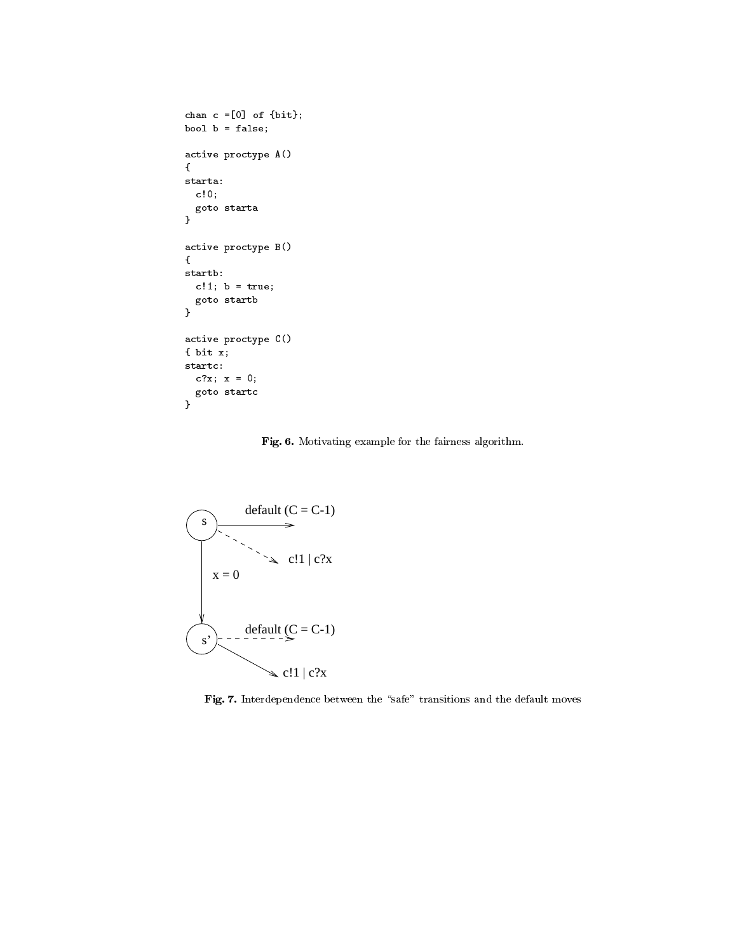```
chan c = [0] of \{bit\};
bool b = false;
active proctype A()
{
starta:
   c!0;
   goto starta
}
active proctype B()
{\color{blue} \bullet} . The contract of the contract of the contract of the contract of the contract of the contract of the contract of the contract of the contract of the contract of the contract of the contract of the contract of 
startb:
   c!1; b = true;
   goto startb
}
active proctype C()
{ bit x;
startc:
   c?x; x = 0;
   goto startc
}
```
Fig. 6. Motivating example for the fairness algorithm.



Fig. 7. Interdependence between the "safe" transitions and the default moves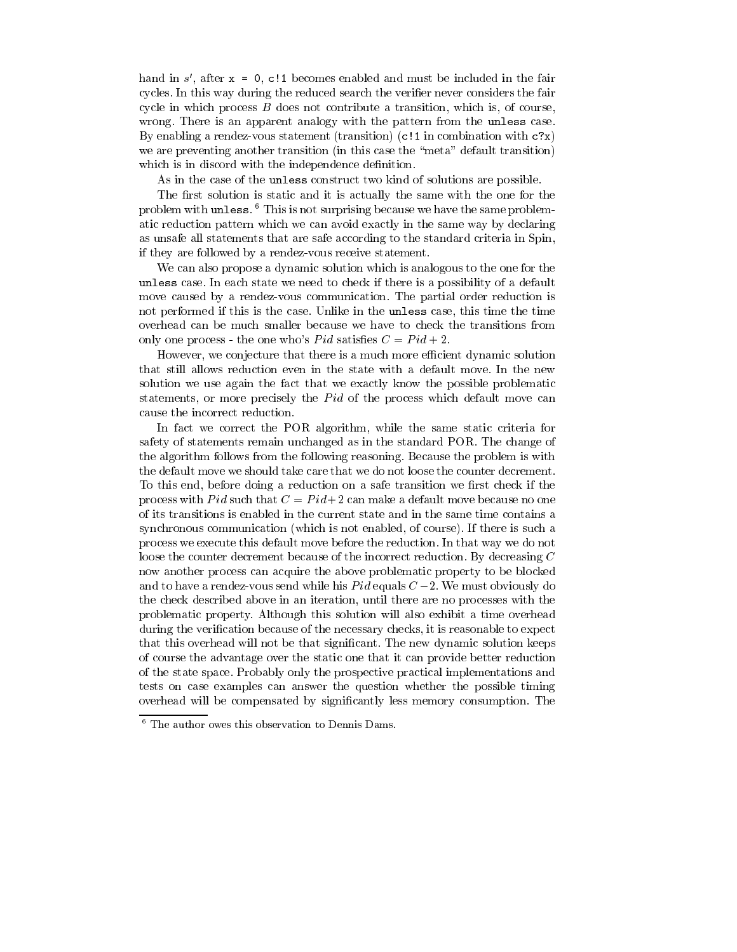$\max$  in  $s$ , after  $x = 0$ , c! I becomes enabled and must be included in the fair cycles. In this way during the reduced search the verifier never considers the fair cycle in which process  $B$  does not contribute a transition, which is, of course, wrong. There is an apparent analogy with the pattern from the unless case. By enabling a rendez-vous statement (transition) (c! 1 in combination with  $c?x$ ) we are preventing another transition (in this case the "meta" default transition) which is in discord with the independence definition.

As in the case of the unless construct two kind of solutions are possible.

The first solution is static and it is actually the same with the one for the problem with unless. <sup>6</sup> This is not surprising because we have the same problematic reduction pattern which we can avoid exactly in the same way by declaring as unsafe all statements that are safe according to the standard criteria in Spin, if they are followed by a rendez-vous receive statement.

We can also propose a dynamic solution which is analogous to the one for the unless case. In each state we need to check if there is a possibility of a default move caused by a rendez-vous communication. The partial order reduction is not performed if this is the case. Unlike in the unless case, this time the time overhead can be much smaller because we have to check the transitions from only one process - the one who's Pid satisfies  $C = P i d + 2$ .

However, we conjecture that there is a much more efficient dynamic solution that still allows reduction even in the state with a default move. In the new solution we use again the fact that we exactly know the possible problematic statements, or more precisely the  $Pid$  of the process which default move can cause the incorrect reduction.

In fact we correct the POR algorithm, while the same static criteria for safety of statements remain unchanged as in the standard POR. The change of the algorithm follows from the following reasoning. Because the problem is with the default move we should take care that we do not loose the counter decrement. To this end, before doing a reduction on a safe transition we first check if the process with Pid such that  $C = P i d + 2$  can make a default move because no one of its transitions is enabled in the current state and in the same time contains a synchronous communication (which is not enabled, of course). If there is such a process we execute this default move before the reduction. In that way we do not loose the counter decrement because of the incorrect reduction. By decreasing C now another process can acquire the above problematic property to be blocked and to have a rendez-vous send while his  $Pid$  equals  $C-2$ . We must obviously do the check described above in an iteration, until there are no processes with the problematic property. Although this solution will also exhibit a time overhead during the verification because of the necessary checks, it is reasonable to expect that this overhead will not be that significant. The new dynamic solution keeps of course the advantage over the static one that it can provide better reduction of the state space. Probably only the prospective practical implementations and tests on case examples can answer the question whether the possible timing overhead will be compensated by signicantly less memory consumption. The

<sup>6</sup> The author owes this observation to Dennis Dams.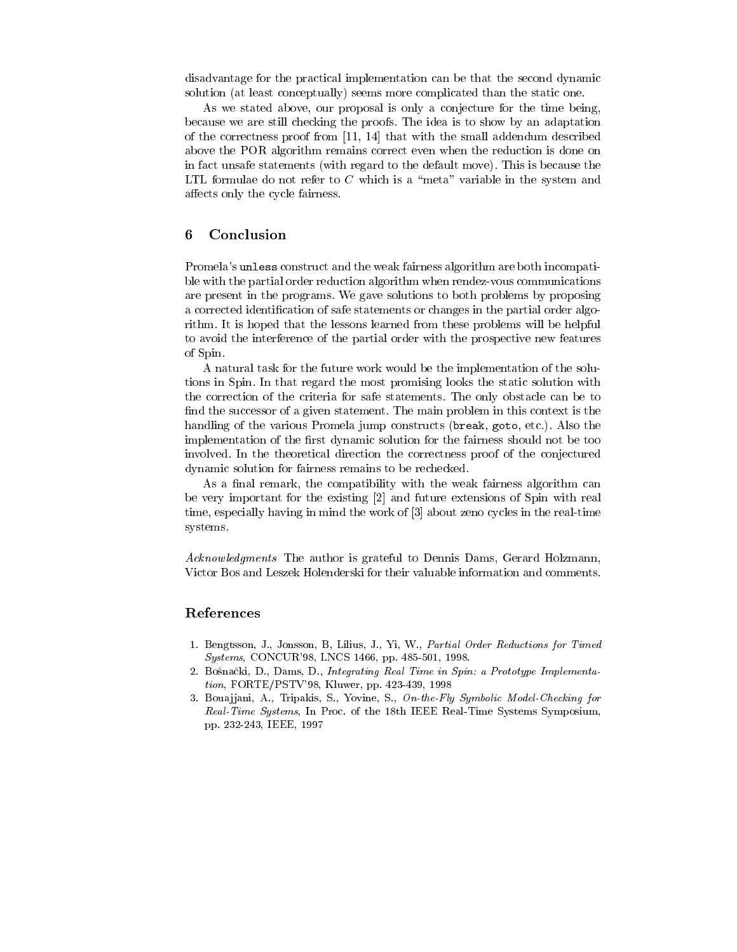disadvantage for the practical implementation can be that the second dynamic solution (at least conceptually) seems more complicated than the static one.

As we stated above, our proposal is only a conjecture for the time being, because we are still checking the proofs. The idea is to show by an adaptation of the correctness proof from [11, 14] that with the small addendum described above the POR algorithm remains correct even when the reduction is done on in fact unsafe statements (with regard to the default move). This is because the LTL formulae do not refer to  $C$  which is a "meta" variable in the system and affects only the cycle fairness.

# <sup>6</sup> Conclusion

Promela's unless construct and the weak fairness algorithm are both incompatible with the partial order reduction algorithm when rendez-vous communications are present in the programs. We gave solutions to both problems by proposing a corrected identification of safe statements or changes in the partial order algorithm. It is hoped that the lessons learned from these problems will be helpful to avoid the interference of the partial order with the prospective new features of Spin.

A natural task for the future work would be the implementation of the solutions in Spin. In that regard the most promising looks the static solution with the correction of the criteria for safe statements. The only obstacle can be to find the successor of a given statement. The main problem in this context is the handling of the various Promela jump constructs (break, goto, etc.). Also the implementation of the first dynamic solution for the fairness should not be too involved. In the theoretical direction the correctness proof of the conjectured dynamic solution for fairness remains to be rechecked.

As a final remark, the compatibility with the weak fairness algorithm can be very important for the existing [2] and future extensions of Spin with real time, especially having in mind the work of [3] about zeno cycles in the real-time systems.

Acknowledgments The author is grateful to Dennis Dams, Gerard Holzmann, Victor Bos and Leszek Holenderski for their valuable information and comments.

# References

- 1. Bengtsson, J., Jonsson, B, Lilius, J., Yi, W., Partial Order Reductions for Timed Systems, CONCUR'98, LNCS 1466, pp. 485-501, 1998.
- 2. Bošnački, D., Dams, D., Integrating Real Time in Spin: a Prototype Implementation, FORTE/PSTV'98, Kluwer, pp. 423-439, 1998
- 3. Boua jjani, A., Tripakis, S., Yovine, S., On-the-Fly Symbolic Model-Checking for Real-Time Systems, In Proc. of the 18th IEEE Real-Time Systems Symposium, pp. 232-243, IEEE, 1997